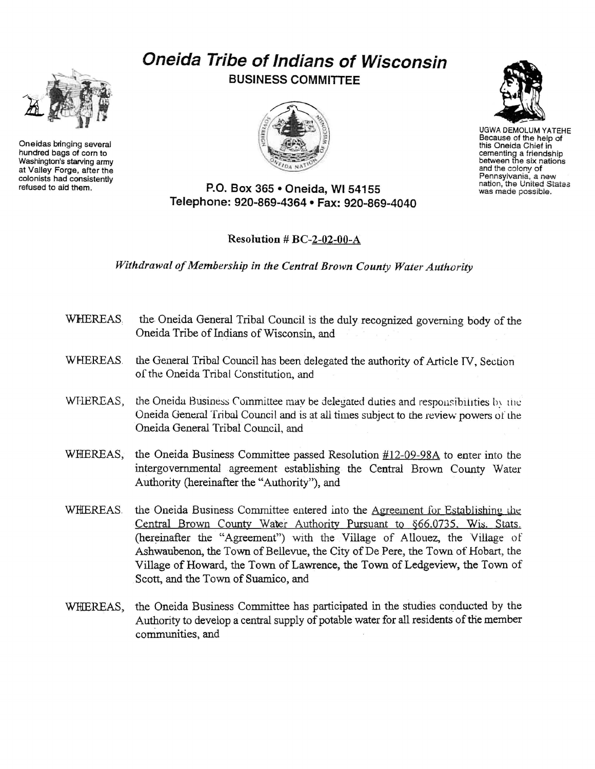## **Oneida Tribe of Indians of Wisconsin BUSINESS COMMITTEE**



UGWA DEMOLUM YATEHE Because of the help of this Oneida Chief in cementing a friendship between the six nations and the colony of<br>Pennsylvania, a new nation, the United States<br>was made possible.

**P.O. Box 365 • Oneida, Wl54155 Telephone: 920-869-4364 • Fax: 920-869-4040** 

## Resolution # BC-2-02-00-A

*Withdrawal of Membership in the Central Brown County Water Authority* 

- WHEREAS. the Oneida General Tribal Council is the duly recognized governing body of the Oneida Tribe of Indians of Wisconsin, and
- WHEREAS. the General Tribal Council has been delegated the authority of Article TV, Section of the Oneida Tribal Constitution, and
- WHEREAS, the Oneida Business Committee may be delegated duties and responsibilities  $\mathbf{w}_i$  the Oneida General Tribal Council and is at all times subject to the review powers of the Oneida General Tribal Council, and
- WHEREAS, the Oneida Business Committee passed Resolution  $#12-09-98A$  to enter into the intergovernmental agreement establishing the Central Brown County Water Authority (hereinafter the "Authority"), and
- WHEREAS the Oneida Business Committee entered into the Agreement for Establishing the Central Brown County Water Authority Pursuant to §66.0735. Wis, Stats. (hereinafter the "Agreement") with the Village of Allouez, the Village of Ashwaubenon, the Town of Bellevue, the City of De Pere, the Town of Hobart, the Village of Howard, the Town of Lawrence, the Town of Ledgeview, the Town of Scott, and the Town of Suamico, and
- WHEREAS, the Oneida Business Committee has participated in the studies conducted by the Authority to develop a central supply of potable water for all residents of the member communities, and



Oneidas bringing several hundred bags of corn to Washington's starving army at Valley Forge, after the colonists had consistently refused to aid them.